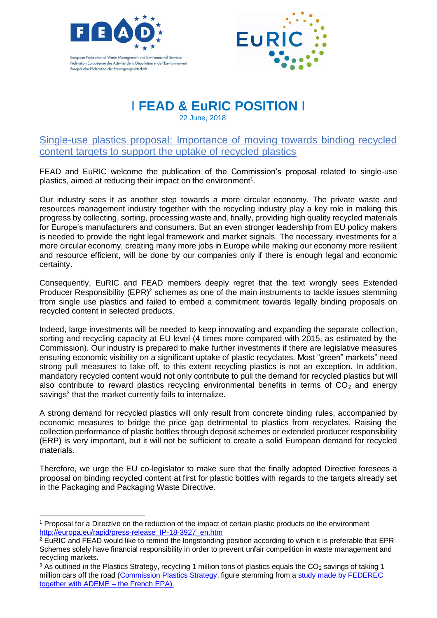



## I **FEAD & EuRIC POSITION** I

22 June, 2018

Single-use plastics proposal: Importance of moving towards binding recycled content targets to support the uptake of recycled plastics

FEAD and EuRIC welcome the publication of the Commission's proposal related to single-use plastics, aimed at reducing their impact on the environment<sup>1</sup>.

Our industry sees it as another step towards a more circular economy. The private waste and resources management industry together with the recycling industry play a key role in making this progress by collecting, sorting, processing waste and, finally, providing high quality recycled materials for Europe's manufacturers and consumers. But an even stronger leadership from EU policy makers is needed to provide the right legal framework and market signals. The necessary investments for a more circular economy, creating many more jobs in Europe while making our economy more resilient and resource efficient, will be done by our companies only if there is enough legal and economic certainty.

Consequently, EuRIC and FEAD members deeply regret that the text wrongly sees Extended Producer Responsibility  $(EPR)^2$  schemes as one of the main instruments to tackle issues stemming from single use plastics and failed to embed a commitment towards legally binding proposals on recycled content in selected products.

Indeed, large investments will be needed to keep innovating and expanding the separate collection, sorting and recycling capacity at EU level (4 times more compared with 2015, as estimated by the Commission). Our industry is prepared to make further investments if there are legislative measures ensuring economic visibility on a significant uptake of plastic recyclates. Most "green" markets" need strong pull measures to take off, to this extent recycling plastics is not an exception. In addition, mandatory recycled content would not only contribute to pull the demand for recycled plastics but will also contribute to reward plastics recycling environmental benefits in terms of  $CO<sub>2</sub>$  and energy savings<sup>3</sup> that the market currently fails to internalize.

A strong demand for recycled plastics will only result from concrete binding rules, accompanied by economic measures to bridge the price gap detrimental to plastics from recyclates. Raising the collection performance of plastic bottles through deposit schemes or extended producer responsibility (ERP) is very important, but it will not be sufficient to create a solid European demand for recycled materials.

Therefore, we urge the EU co-legislator to make sure that the finally adopted Directive foresees a proposal on binding recycled content at first for plastic bottles with regards to the targets already set in the Packaging and Packaging Waste Directive.

 $\overline{a}$ 

<sup>1</sup> Proposal for a Directive on the reduction of the impact of certain plastic products on the environment [http://europa.eu/rapid/press-release\\_IP-18-3927\\_en.htm](http://europa.eu/rapid/press-release_IP-18-3927_en.htm)

<sup>&</sup>lt;sup>2</sup> EuRIC and FEAD would like to remind the longstanding position according to which it is preferable that EPR Schemes solely have financial responsibility in order to prevent unfair competition in waste management and recycling markets.

 $3$  As outlined in the Plastics Strategy, recycling 1 million tons of plastics equals the  $CO<sub>2</sub>$  savings of taking 1 million cars off the road [\(Commission Plastics Strategy,](http://ec.europa.eu/environment/circular-economy/pdf/plastics-strategy.pdf) figure stemming from a study made by FEDEREC [together with ADEME –](https://www.actu-environnement.com/media/pdf/news-28012-etude-federec-bilan-recyclage-france.pdf) the French EPA).